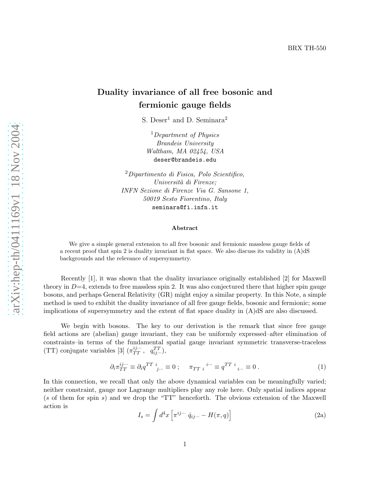## Duality invariance of all free bosonic and fermionic gauge fields

S. Deser<sup>1</sup> and D. Seminara<sup>2</sup>

<sup>1</sup>Department of Physics Brandeis University Waltham, MA 02454, USA deser@brandeis.edu

<sup>2</sup>Dipartimento di Fisica, Polo Scientifico, Università di Firenze; INFN Sezione di Firenze Via G. Sansone 1, 50019 Sesto Fiorentino, Italy seminara@fi.infn.it

## Abstract

We give a simple general extension to all free bosonic and fermionic massless gauge fields of a recent proof that spin 2 is duality invariant in flat space. We also discuss its validity in  $(A)dS$ backgrounds and the relevance of supersymmetry.

Recently [1], it was shown that the duality invariance originally established [2] for Maxwell theory in  $D=4$ , extends to free massless spin 2. It was also conjectured there that higher spin gauge bosons, and perhaps General Relativity (GR) might enjoy a similar property. In this Note, a simple method is used to exhibit the duality invariance of all free gauge fields, bosonic and fermionic; some implications of supersymmetry and the extent of flat space duality in (A)dS are also discussed.

We begin with bosons. The key to our derivation is the remark that since free gauge field actions are (abelian) gauge invariant, they can be uniformly expressed–after elimination of constraints–in terms of the fundamental spatial gauge invariant symmetric transverse-traceless (TT) conjugate variables [3]  $(\pi_{TT}^{ij\cdots}, q_{ij\cdots}^{TT})$ ,

$$
\partial_i \pi_{TT}^{ij\cdots} \equiv \partial_i q^{TT} \, i_{j\cdots} \equiv 0 \; ; \quad \pi_{TT} \, i^{i\cdots} \equiv q^{TT} \, i_{i\cdots} \equiv 0 \; . \tag{1}
$$

In this connection, we recall that only the above dynamical variables can be meaningfully varied; neither constraint, gauge nor Lagrange multipliers play any role here. Only spatial indices appear (s of them for spin s) and we drop the "TT" henceforth. The obvious extension of the Maxwell action is

$$
I_s = \int d^4x \left[ \pi^{ij\cdots} \dot{q}_{ij\cdots} - H(\pi, q) \right]
$$
 (2a)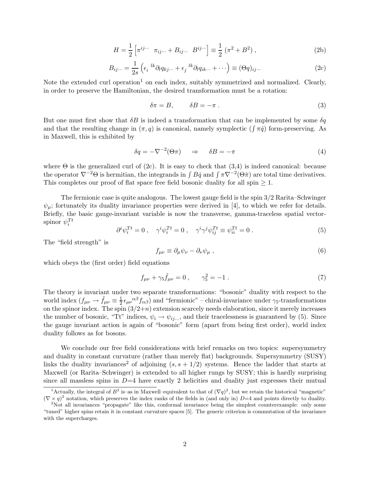$$
H = \frac{1}{2} \left[ \pi^{ij\cdots} \ \pi_{ij\cdots} + B_{ij\cdots} \ B^{ij\cdots} \right] \equiv \frac{1}{2} \left( \pi^2 + B^2 \right), \tag{2b}
$$

$$
B_{ij\cdots} = \frac{1}{2s} \left( \epsilon_i \; ^{lk} \partial_l q_{kj\cdots} + \epsilon_j \; ^{lk} \partial_l q_{ik\cdots} + \cdots \right) \equiv (\Theta q)_{ij\cdots} \tag{2c}
$$

Note the extended curl operation<sup>1</sup> on each index, suitably symmetrized and normalized. Clearly, in order to preserve the Hamiltonian, the desired transformation must be a rotation:

$$
\delta \pi = B, \qquad \delta B = -\pi \ . \tag{3}
$$

But one must first show that  $\delta B$  is indeed a transformation that can be implemented by some  $\delta q$ and that the resulting change in  $(\pi, q)$  is canonical, namely symplectic  $(\int \pi \dot{q})$  form-preserving. As in Maxwell, this is exhibited by

$$
\delta q = -\nabla^{-2}(\Theta \pi) \quad \Rightarrow \quad \delta B = -\pi \tag{4}
$$

where  $\Theta$  is the generalized curl of (2c). It is easy to check that (3,4) is indeed canonical: because the operator  $\nabla^{-2}\Theta$  is hermitian, the integrands in  $\int B\dot{q}$  and  $\int \pi \nabla^{-2}(\Theta \dot{\pi})$  are total time derivatives. This completes our proof of flat space free field bosonic duality for all spin  $\geq 1$ .

The fermionic case is quite analogous. The lowest gauge field is the spin 3/2 Rarita–Schwinger  $\psi_{\mu}$ ; fortunately its duality invariance properties were derived in [4], to which we refer for details. Briefly, the basic gauge-invariant variable is now the transverse, gamma-traceless spatial vectorspinor  $\psi_i^{Tt}$ 

$$
\partial^i \psi_i^{Tt} = 0 \;, \quad \gamma^i \psi_i^{Tt} = 0 \;, \quad \gamma^i \gamma^j \psi_{ij}^{Tt} \equiv \psi_{ii}^{Tt} = 0 \;.
$$
 (5)

The "field strength" is

$$
f_{\mu\nu} \equiv \partial_{\mu}\psi_{\nu} - \partial_{\nu}\psi_{\mu} , \qquad (6)
$$

which obeys the (first order) field equations

$$
f_{\mu\nu} + \gamma_5 \tilde{f}_{\mu\nu} = 0 \,, \qquad \gamma_5^2 = -1 \,. \tag{7}
$$

The theory is invariant under two separate transformations: "bosonic" duality with respect to the world index  $(f_{\mu\nu} \rightarrow \tilde{f}_{\mu\nu} \equiv \frac{1}{2})$  $\frac{1}{2} \epsilon_{\mu\nu}{}^{\alpha\beta} f_{\alpha\beta}$ ) and "fermionic" – chiral-invariance under  $\gamma_5$ -transformations on the spinor index. The spin  $(3/2+n)$  extension scarcely needs elaboration, since it merely increases the number of bosonic, "Tt" indices,  $\psi_i \to \psi_{ii...}$ , and their tracelessness is guaranteed by (5). Since the gauge invariant action is again of "bosonic" form (apart from being first order), world index duality follows as for bosons.

We conclude our free field considerations with brief remarks on two topics: supersymmetry and duality in constant curvature (rather than merely flat) backgrounds. Supersymmetry (SUSY) links the duality invariances<sup>2</sup> of adjoining  $(s, s + 1/2)$  systems. Hence the ladder that starts at Maxwell (or Rarita–Schwinger) is extended to all higher rungs by SUSY; this is hardly surprising since all massless spins in  $D=4$  have exactly 2 helicities and duality just expresses their mutual

<sup>&</sup>lt;sup>1</sup>Actually, the integral of  $B^2$  is-as in Maxwell–equivalent to that of  $(\nabla q)^2$ , but we retain the historical "magnetic"  $(\nabla \times q)^2$  notation, which preserves the index ranks of the fields in (and only in)  $D=4$  and points directly to duality.

<sup>&</sup>lt;sup>2</sup>Not all invariances "propagate" like this, conformal invariance being the simplest counterexample: only some "tuned" higher spins retain it in constant curvature spaces [5]. The generic criterion is commutation of the invariance with the supercharges.